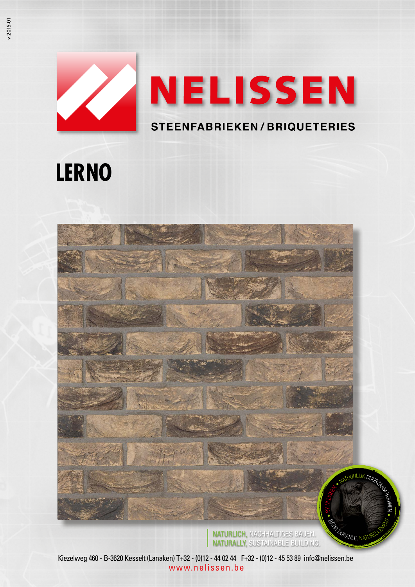# NELISSEN **STEENFABRIEKEN/BRIQUETERIES**

## **LERNO**



NATURLICH, NACHHALTIGES BAUEN. NATURALLY, SUSTAINABLE BUILDING.

*PABLE*, NÁ

Kiezelweg 460 - B-3620 Kesselt (Lanaken) T+32 - (0)12 - 44 02 44 F+32 - (0)12 - 45 53 89 info@nelissen.be www.nelissen.be